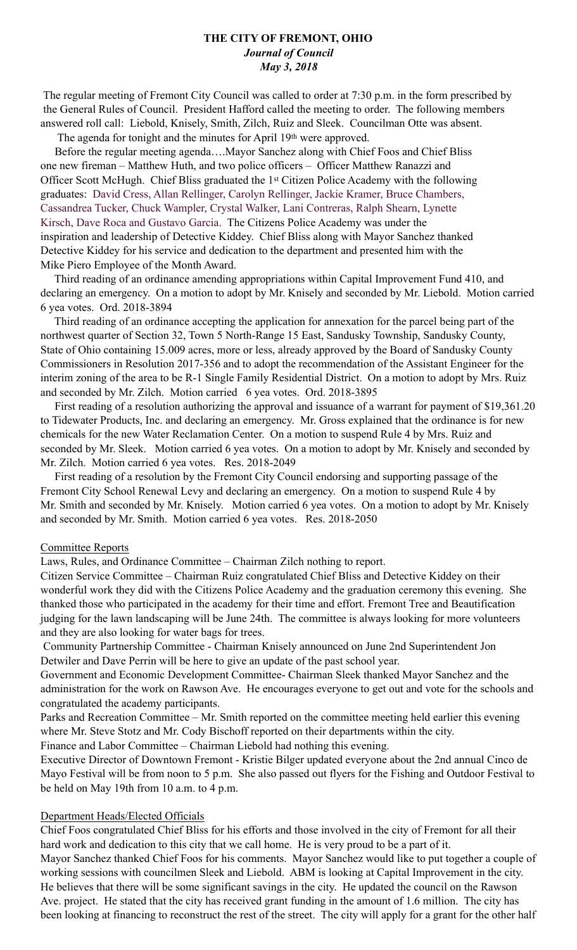## **THE CITY OF FREMONT, OHIO**  *Journal of Council May 3, 2018*

 The regular meeting of Fremont City Council was called to order at 7:30 p.m. in the form prescribed by the General Rules of Council. President Hafford called the meeting to order. The following members answered roll call: Liebold, Knisely, Smith, Zilch, Ruiz and Sleek. Councilman Otte was absent.

The agenda for tonight and the minutes for April 19th were approved.

 Before the regular meeting agenda….Mayor Sanchez along with Chief Foos and Chief Bliss one new fireman – Matthew Huth, and two police officers – Officer Matthew Ranazzi and Officer Scott McHugh. Chief Bliss graduated the 1st Citizen Police Academy with the following graduates: David Cress, Allan Rellinger, Carolyn Rellinger, Jackie Kramer, Bruce Chambers, Cassandrea Tucker, Chuck Wampler, Crystal Walker, Lani Contreras, Ralph Shearn, Lynette Kirsch, Dave Roca and Gustavo Garcia. The Citizens Police Academy was under the inspiration and leadership of Detective Kiddey. Chief Bliss along with Mayor Sanchez thanked Detective Kiddey for his service and dedication to the department and presented him with the Mike Piero Employee of the Month Award.

 Third reading of an ordinance amending appropriations within Capital Improvement Fund 410, and declaring an emergency. On a motion to adopt by Mr. Knisely and seconded by Mr. Liebold. Motion carried 6 yea votes. Ord. 2018-3894

 Third reading of an ordinance accepting the application for annexation for the parcel being part of the northwest quarter of Section 32, Town 5 North-Range 15 East, Sandusky Township, Sandusky County, State of Ohio containing 15.009 acres, more or less, already approved by the Board of Sandusky County Commissioners in Resolution 2017-356 and to adopt the recommendation of the Assistant Engineer for the interim zoning of the area to be R-1 Single Family Residential District. On a motion to adopt by Mrs. Ruiz and seconded by Mr. Zilch. Motion carried 6 yea votes. Ord. 2018-3895

 First reading of a resolution authorizing the approval and issuance of a warrant for payment of \$19,361.20 to Tidewater Products, Inc. and declaring an emergency. Mr. Gross explained that the ordinance is for new chemicals for the new Water Reclamation Center. On a motion to suspend Rule 4 by Mrs. Ruiz and seconded by Mr. Sleek. Motion carried 6 yea votes. On a motion to adopt by Mr. Knisely and seconded by Mr. Zilch. Motion carried 6 yea votes. Res. 2018-2049

 First reading of a resolution by the Fremont City Council endorsing and supporting passage of the Fremont City School Renewal Levy and declaring an emergency. On a motion to suspend Rule 4 by Mr. Smith and seconded by Mr. Knisely. Motion carried 6 yea votes. On a motion to adopt by Mr. Knisely and seconded by Mr. Smith. Motion carried 6 yea votes. Res. 2018-2050

## Committee Reports

Laws, Rules, and Ordinance Committee – Chairman Zilch nothing to report.

Citizen Service Committee – Chairman Ruiz congratulated Chief Bliss and Detective Kiddey on their wonderful work they did with the Citizens Police Academy and the graduation ceremony this evening. She thanked those who participated in the academy for their time and effort. Fremont Tree and Beautification judging for the lawn landscaping will be June 24th. The committee is always looking for more volunteers and they are also looking for water bags for trees.

 Community Partnership Committee - Chairman Knisely announced on June 2nd Superintendent Jon Detwiler and Dave Perrin will be here to give an update of the past school year.

Government and Economic Development Committee- Chairman Sleek thanked Mayor Sanchez and the administration for the work on Rawson Ave. He encourages everyone to get out and vote for the schools and congratulated the academy participants.

Parks and Recreation Committee – Mr. Smith reported on the committee meeting held earlier this evening where Mr. Steve Stotz and Mr. Cody Bischoff reported on their departments within the city. Finance and Labor Committee – Chairman Liebold had nothing this evening.

Executive Director of Downtown Fremont - Kristie Bilger updated everyone about the 2nd annual Cinco de Mayo Festival will be from noon to 5 p.m. She also passed out flyers for the Fishing and Outdoor Festival to be held on May 19th from 10 a.m. to 4 p.m.

#### Department Heads/Elected Officials

Chief Foos congratulated Chief Bliss for his efforts and those involved in the city of Fremont for all their hard work and dedication to this city that we call home. He is very proud to be a part of it.

Mayor Sanchez thanked Chief Foos for his comments. Mayor Sanchez would like to put together a couple of working sessions with councilmen Sleek and Liebold. ABM is looking at Capital Improvement in the city. He believes that there will be some significant savings in the city. He updated the council on the Rawson Ave. project. He stated that the city has received grant funding in the amount of 1.6 million. The city has been looking at financing to reconstruct the rest of the street. The city will apply for a grant for the other half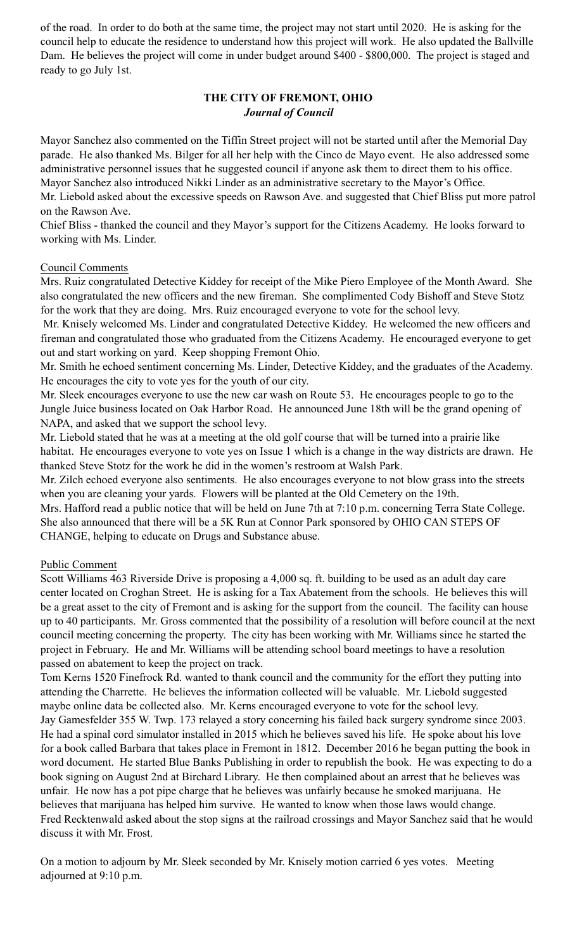of the road. In order to do both at the same time, the project may not start until 2020. He is asking for the council help to educate the residence to understand how this project will work. He also updated the Ballville Dam. He believes the project will come in under budget around \$400 - \$800,000. The project is staged and ready to go July 1st.

# **THE CITY OF FREMONT, OHIO**  *Journal of Council*

Mayor Sanchez also commented on the Tiffin Street project will not be started until after the Memorial Day parade. He also thanked Ms. Bilger for all her help with the Cinco de Mayo event. He also addressed some administrative personnel issues that he suggested council if anyone ask them to direct them to his office. Mayor Sanchez also introduced Nikki Linder as an administrative secretary to the Mayor's Office.

Mr. Liebold asked about the excessive speeds on Rawson Ave. and suggested that Chief Bliss put more patrol on the Rawson Ave.

Chief Bliss - thanked the council and they Mayor's support for the Citizens Academy. He looks forward to working with Ms. Linder.

## Council Comments

Mrs. Ruiz congratulated Detective Kiddey for receipt of the Mike Piero Employee of the Month Award. She also congratulated the new officers and the new fireman. She complimented Cody Bishoff and Steve Stotz for the work that they are doing. Mrs. Ruiz encouraged everyone to vote for the school levy.

 Mr. Knisely welcomed Ms. Linder and congratulated Detective Kiddey. He welcomed the new officers and fireman and congratulated those who graduated from the Citizens Academy. He encouraged everyone to get out and start working on yard. Keep shopping Fremont Ohio.

Mr. Smith he echoed sentiment concerning Ms. Linder, Detective Kiddey, and the graduates of the Academy. He encourages the city to vote yes for the youth of our city.

Mr. Sleek encourages everyone to use the new car wash on Route 53. He encourages people to go to the Jungle Juice business located on Oak Harbor Road. He announced June 18th will be the grand opening of NAPA, and asked that we support the school levy.

Mr. Liebold stated that he was at a meeting at the old golf course that will be turned into a prairie like habitat. He encourages everyone to vote yes on Issue 1 which is a change in the way districts are drawn. He thanked Steve Stotz for the work he did in the women's restroom at Walsh Park.

Mr. Zilch echoed everyone also sentiments. He also encourages everyone to not blow grass into the streets when you are cleaning your yards. Flowers will be planted at the Old Cemetery on the 19th.

Mrs. Hafford read a public notice that will be held on June 7th at 7:10 p.m. concerning Terra State College. She also announced that there will be a 5K Run at Connor Park sponsored by OHIO CAN STEPS OF CHANGE, helping to educate on Drugs and Substance abuse.

# Public Comment

Scott Williams 463 Riverside Drive is proposing a 4,000 sq. ft. building to be used as an adult day care center located on Croghan Street. He is asking for a Tax Abatement from the schools. He believes this will be a great asset to the city of Fremont and is asking for the support from the council. The facility can house up to 40 participants. Mr. Gross commented that the possibility of a resolution will before council at the next council meeting concerning the property. The city has been working with Mr. Williams since he started the project in February. He and Mr. Williams will be attending school board meetings to have a resolution passed on abatement to keep the project on track.

Tom Kerns 1520 Finefrock Rd. wanted to thank council and the community for the effort they putting into attending the Charrette. He believes the information collected will be valuable. Mr. Liebold suggested maybe online data be collected also. Mr. Kerns encouraged everyone to vote for the school levy. Jay Gamesfelder 355 W. Twp. 173 relayed a story concerning his failed back surgery syndrome since 2003. He had a spinal cord simulator installed in 2015 which he believes saved his life. He spoke about his love for a book called Barbara that takes place in Fremont in 1812. December 2016 he began putting the book in word document. He started Blue Banks Publishing in order to republish the book. He was expecting to do a book signing on August 2nd at Birchard Library. He then complained about an arrest that he believes was unfair. He now has a pot pipe charge that he believes was unfairly because he smoked marijuana. He believes that marijuana has helped him survive. He wanted to know when those laws would change. Fred Recktenwald asked about the stop signs at the railroad crossings and Mayor Sanchez said that he would discuss it with Mr. Frost.

On a motion to adjourn by Mr. Sleek seconded by Mr. Knisely motion carried 6 yes votes. Meeting adjourned at 9:10 p.m.